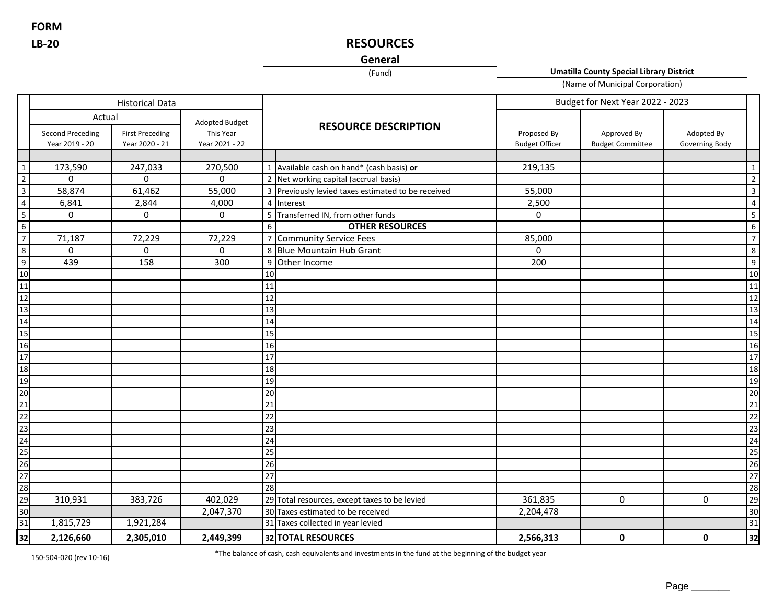**LB-20 FORM**

# **RESOURCES**

# **General**

(Fund)

**Umatilla County Special Library District**

(Name of Municipal Corporation)

|                                    |                                           | <b>Historical Data</b>                   |                                               |                 |                                                    | Budget for Next Year 2022 - 2023     |                                        |                              |                         |
|------------------------------------|-------------------------------------------|------------------------------------------|-----------------------------------------------|-----------------|----------------------------------------------------|--------------------------------------|----------------------------------------|------------------------------|-------------------------|
|                                    | Actual                                    |                                          |                                               |                 |                                                    |                                      |                                        |                              |                         |
|                                    | <b>Second Preceding</b><br>Year 2019 - 20 | <b>First Preceding</b><br>Year 2020 - 21 | Adopted Budget<br>This Year<br>Year 2021 - 22 |                 | <b>RESOURCE DESCRIPTION</b>                        | Proposed By<br><b>Budget Officer</b> | Approved By<br><b>Budget Committee</b> | Adopted By<br>Governing Body |                         |
|                                    |                                           |                                          |                                               |                 |                                                    |                                      |                                        |                              |                         |
| $\mathbf{1}$                       | 173,590                                   | 247,033                                  | 270,500                                       |                 | 1 Available cash on hand* (cash basis) or          | 219,135                              |                                        |                              | $\mathbf{1}$            |
| $\overline{2}$                     | $\mathbf{0}$                              | $\Omega$                                 | $\Omega$                                      |                 | 2 Net working capital (accrual basis)              |                                      |                                        |                              | 2                       |
| $\overline{3}$                     | 58,874                                    | 61,462                                   | 55,000                                        |                 | 3 Previously levied taxes estimated to be received | 55,000                               |                                        |                              | $\mathbf{3}$            |
| $\overline{4}$                     | 6,841                                     | 2,844                                    | 4,000                                         |                 | 4 Interest                                         | 2,500                                |                                        |                              | $\vert 4 \vert$         |
|                                    | $\mathbf 0$                               | 0                                        | $\mathbf 0$                                   |                 | 5 Transferred IN, from other funds                 | 0                                    |                                        |                              | $\overline{\mathbf{5}}$ |
| $6\overline{6}$                    |                                           |                                          |                                               | 6               | <b>OTHER RESOURCES</b>                             |                                      |                                        |                              | $\overline{6}$          |
| $\overline{7}$                     | 71,187                                    | 72,229                                   | 72,229                                        |                 | 7 Community Service Fees                           | 85,000                               |                                        |                              | $\overline{7}$          |
| 8                                  | $\mathbf{0}$                              | 0                                        | $\mathbf 0$                                   |                 | 8 Blue Mountain Hub Grant                          | $\Omega$                             |                                        |                              | 8                       |
| $\overline{9}$                     | 439                                       | 158                                      | $\overline{300}$                              |                 | 9 Other Income                                     | 200                                  |                                        |                              | 9 <sup>1</sup>          |
| 10                                 |                                           |                                          |                                               | 10              |                                                    |                                      |                                        |                              | 10                      |
| $\overline{11}$                    |                                           |                                          |                                               | 11              |                                                    |                                      |                                        |                              | 11                      |
| $\overline{12}$                    |                                           |                                          |                                               | 12              |                                                    |                                      |                                        |                              | 12                      |
| 13                                 |                                           |                                          |                                               | 13              |                                                    |                                      |                                        |                              | 13                      |
| 14                                 |                                           |                                          |                                               | 14              |                                                    |                                      |                                        |                              | 14                      |
| 15                                 |                                           |                                          |                                               | 15              |                                                    |                                      |                                        |                              | 15                      |
| 16                                 |                                           |                                          |                                               | 16              |                                                    |                                      |                                        |                              | 16                      |
| 17                                 |                                           |                                          |                                               | 17              |                                                    |                                      |                                        |                              | 17                      |
| 18                                 |                                           |                                          |                                               | 18              |                                                    |                                      |                                        |                              | 18                      |
| $\overline{19}$                    |                                           |                                          |                                               | 19              |                                                    |                                      |                                        |                              | 19                      |
| 20                                 |                                           |                                          |                                               | 20              |                                                    |                                      |                                        |                              | 20                      |
| 21                                 |                                           |                                          |                                               | 21              |                                                    |                                      |                                        |                              | 21                      |
| 22                                 |                                           |                                          |                                               | $\overline{22}$ |                                                    |                                      |                                        |                              | 22                      |
| 23                                 |                                           |                                          |                                               | 23              |                                                    |                                      |                                        |                              | 23                      |
| $\frac{24}{25}$<br>$\frac{25}{28}$ |                                           |                                          |                                               | $\overline{24}$ |                                                    |                                      |                                        |                              | 24                      |
|                                    |                                           |                                          |                                               | 25              |                                                    |                                      |                                        |                              | 25                      |
|                                    |                                           |                                          |                                               | 26              |                                                    |                                      |                                        |                              | 26                      |
|                                    |                                           |                                          |                                               | 27              |                                                    |                                      |                                        |                              | 27                      |
|                                    |                                           |                                          |                                               | 28              |                                                    |                                      |                                        |                              | 28                      |
| $\overline{29}$                    | 310,931                                   | 383,726                                  | 402,029                                       |                 | 29 Total resources, except taxes to be levied      | 361,835                              | 0                                      | $\mathbf 0$                  | 29                      |
| 30                                 |                                           |                                          | 2,047,370                                     |                 | 30 Taxes estimated to be received                  | 2,204,478                            |                                        |                              | 30                      |
| $\overline{31}$                    | 1,815,729                                 | 1,921,284                                |                                               |                 | 31 Taxes collected in year levied                  |                                      |                                        |                              | 31                      |
| 32                                 | 2,126,660                                 | 2,305,010                                | 2,449,399                                     |                 | 32 TOTAL RESOURCES                                 | 2,566,313                            | $\mathbf 0$                            | 0                            | 32                      |

150-504-020 (rev 10-16)

\*The balance of cash, cash equivalents and investments in the fund at the beginning of the budget year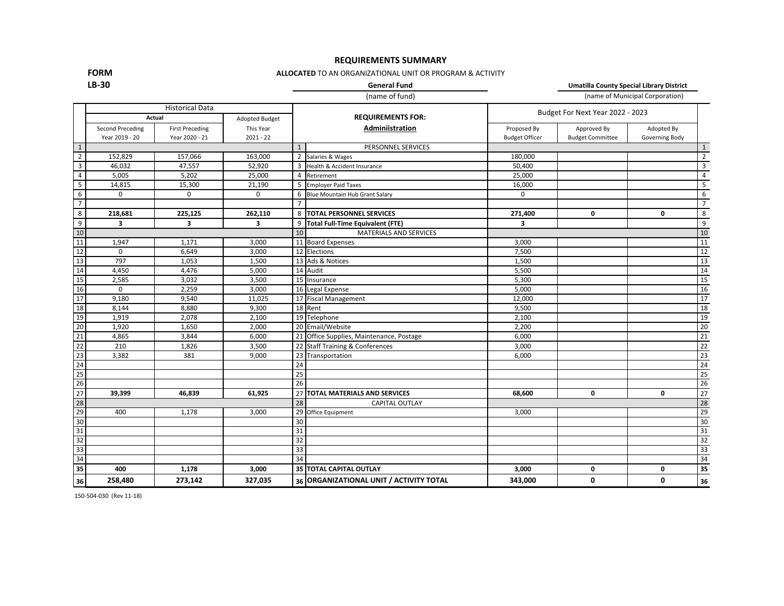### **REQUIREMENTS SUMMARY**

# **FORM**

## **ALLOCATED** TO AN ORGANIZATIONAL UNIT OR PROGRAM & ACTIVITY

### **LB-30**

(name of fund) (name of Municipal Corporation) **General Fund Umatilla County Special Library District**

|                 |                                                                                                            |                         |                |                 | (                                        |                       |                                  | ,ac o. ao.pa. co.po.ao <i>,</i> |                         |  |
|-----------------|------------------------------------------------------------------------------------------------------------|-------------------------|----------------|-----------------|------------------------------------------|-----------------------|----------------------------------|---------------------------------|-------------------------|--|
|                 | <b>Historical Data</b><br>Actual                                                                           |                         |                |                 | <b>REQUIREMENTS FOR:</b>                 |                       | Budget For Next Year 2022 - 2023 |                                 |                         |  |
|                 |                                                                                                            |                         | Adopted Budget |                 |                                          |                       |                                  |                                 |                         |  |
|                 | This Year<br>Second Preceding<br><b>First Preceding</b><br>Year 2020 - 21<br>$2021 - 22$<br>Year 2019 - 20 |                         |                | Adminiistration | Proposed By                              | Approved By           | Adopted By                       |                                 |                         |  |
|                 |                                                                                                            |                         |                |                 |                                          | <b>Budget Officer</b> | <b>Budget Committee</b>          | Governing Body                  |                         |  |
| $\mathbf{1}$    |                                                                                                            |                         |                | $\mathbf{1}$    | PERSONNEL SERVICES                       |                       |                                  |                                 | $\mathbf{1}$            |  |
| $\overline{2}$  | 152,829                                                                                                    | 157,066                 | 163,000        |                 | 2 Salaries & Wages                       | 180,000               |                                  |                                 | $\overline{2}$          |  |
| $\overline{3}$  | 46,032                                                                                                     | 47,557                  | 52,920         |                 | 3 Health & Accident Insurance            | 50,400                |                                  |                                 | $\overline{\mathbf{3}}$ |  |
| 4               | 5,005                                                                                                      | 5,202                   | 25,000         | $\overline{4}$  | Retirement                               | 25,000                |                                  |                                 | $\overline{4}$          |  |
| 5               | 14,815                                                                                                     | 15,300                  | 21,190         |                 | 5 Employer Paid Taxes                    | 16,000                |                                  |                                 | 5                       |  |
| 6               | $\mathbf 0$                                                                                                | $\mathbf 0$             | $\Omega$       |                 | 6 Blue Mountain Hub Grant Salary         | $\mathbf 0$           |                                  |                                 | 6                       |  |
| $\overline{7}$  |                                                                                                            |                         |                | $\overline{7}$  |                                          |                       |                                  |                                 | $\overline{7}$          |  |
| 8               | 218,681                                                                                                    | 225,125                 | 262,110        |                 | 8 TOTAL PERSONNEL SERVICES               | 271,400               | 0                                | 0                               | 8                       |  |
| 9               | 3                                                                                                          | $\overline{\mathbf{3}}$ | 3              | 9               | <b>Total Full-Time Equivalent (FTE)</b>  | 3                     |                                  |                                 | 9                       |  |
| $10$            |                                                                                                            |                         |                | 10              | <b>MATERIALS AND SERVICES</b>            |                       |                                  |                                 | 10                      |  |
| 11              | 1,947                                                                                                      | 1,171                   | 3,000          |                 | 11 Board Expenses                        | 3,000                 |                                  |                                 | 11                      |  |
| 12              | $\mathbf 0$                                                                                                | 6,649                   | 3,000          |                 | $\overline{12}$ Elections                | 7,500                 |                                  |                                 | 12                      |  |
| 13              | 797                                                                                                        | 1,053                   | 1,500          |                 | 13 Ads & Notices                         | 1,500                 |                                  |                                 | 13                      |  |
| 14              | 4,450                                                                                                      | 4,476                   | 5,000          |                 | 14 Audit                                 | 5,500                 |                                  |                                 | 14                      |  |
| 15              | 2,585                                                                                                      | 3,032                   | 3,500          |                 | 15 Insurance                             | 5,300                 |                                  |                                 | 15                      |  |
| 16              | $\mathbf 0$                                                                                                | 2,259                   | 3,000          |                 | 16 Legal Expense                         | 5,000                 |                                  |                                 | 16                      |  |
| 17              | 9,180                                                                                                      | 9,540                   | 11,025         |                 | 17 Fiscal Management                     | 12,000                |                                  |                                 | 17                      |  |
| 18              | 8,144                                                                                                      | 8,880                   | 9,300          |                 | 18 Rent                                  | 9,500                 |                                  |                                 | 18                      |  |
| 19              | 1,919                                                                                                      | 2,078                   | 2,100          |                 | 19 Telephone                             | 2,100                 |                                  |                                 | 19                      |  |
| 20              | 1,920                                                                                                      | 1,650                   | 2,000          |                 | 20 Email/Website                         | 2,200                 |                                  |                                 | 20                      |  |
| $\overline{21}$ | 4,865                                                                                                      | 3,844                   | 6,000          |                 | 21 Office Supplies, Maintenance, Postage | 6,000                 |                                  |                                 | 21                      |  |
| 22              | 210                                                                                                        | 1,826                   | 3,500          |                 | 22 Staff Training & Conferences          | 3,000                 |                                  |                                 | 22                      |  |
| 23              | 3,382                                                                                                      | 381                     | 9,000          |                 | 23 Transportation                        | 6,000                 |                                  |                                 | 23                      |  |
| 24              |                                                                                                            |                         |                | 24              |                                          |                       |                                  |                                 | 24                      |  |
| 25              |                                                                                                            |                         |                | $\overline{25}$ |                                          |                       |                                  |                                 | 25                      |  |
| 26              |                                                                                                            |                         |                | 26              |                                          |                       |                                  |                                 | 26                      |  |
| 27              | 39,399                                                                                                     | 46,839                  | 61,925         | 27              | <b>TOTAL MATERIALS AND SERVICES</b>      | 68,600                | 0                                | 0                               | 27                      |  |
| 28              |                                                                                                            |                         |                | 28              | <b>CAPITAL OUTLAY</b>                    |                       |                                  |                                 | 28                      |  |
| 29              | 400                                                                                                        | 1,178                   | 3,000          |                 | 29 Office Equipment                      | 3,000                 |                                  |                                 | 29                      |  |
| 30              |                                                                                                            |                         |                | $\overline{30}$ |                                          |                       |                                  |                                 | 30                      |  |
| 31              |                                                                                                            |                         |                | 31              |                                          |                       |                                  |                                 | 31                      |  |
| 32              |                                                                                                            |                         |                | 32              |                                          |                       |                                  |                                 | 32                      |  |
| 33              |                                                                                                            |                         |                | $\overline{33}$ |                                          |                       |                                  |                                 | 33                      |  |
| 34              |                                                                                                            |                         |                | $\overline{34}$ |                                          |                       |                                  |                                 | 34                      |  |
| 35              | 400                                                                                                        | 1,178                   | 3,000          |                 | 35 TOTAL CAPITAL OUTLAY                  | 3,000                 | 0                                | 0                               | 35                      |  |
| 36              | 258,480                                                                                                    | 273,142                 | 327,035        |                 | 36 ORGANIZATIONAL UNIT / ACTIVITY TOTAL  | 343,000               | 0                                | 0                               | 36                      |  |
|                 |                                                                                                            |                         |                |                 |                                          |                       |                                  |                                 |                         |  |

150-504-030 (Rev 11-18)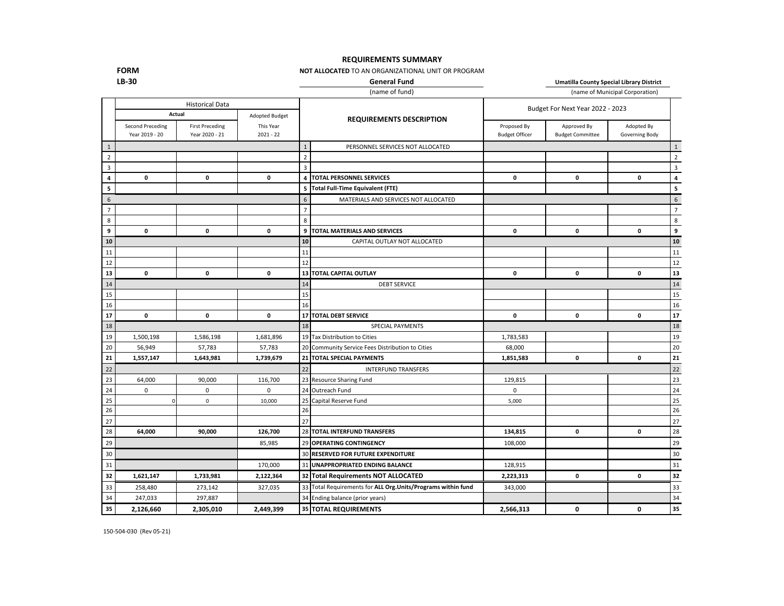### **REQUIREMENTS SUMMARY**

### **NOT ALLOCATED** TO AN ORGANIZATIONAL UNIT OR PROGRAM

**FORM LB-30**

**General Fund Umatilla County Special Library District**

|                         |                                                    |                                          |                          |                | (name of fund)                                                |                                      | (name of Municipal Corporation) |             |                |  |
|-------------------------|----------------------------------------------------|------------------------------------------|--------------------------|----------------|---------------------------------------------------------------|--------------------------------------|---------------------------------|-------------|----------------|--|
|                         | <b>Historical Data</b><br>Actual<br>Adopted Budget |                                          |                          |                | Budget For Next Year 2022 - 2023                              |                                      |                                 |             |                |  |
|                         | <b>Second Preceding</b><br>Year 2019 - 20          | <b>First Preceding</b><br>Year 2020 - 21 | This Year<br>$2021 - 22$ |                | <b>REQUIREMENTS DESCRIPTION</b>                               | Proposed By<br><b>Budget Officer</b> | Adopted By<br>Governing Body    |             |                |  |
| $\,1\,$                 |                                                    |                                          |                          | $\mathbf{1}$   | PERSONNEL SERVICES NOT ALLOCATED                              |                                      |                                 |             | $\mathbf{1}$   |  |
| $\overline{2}$          |                                                    |                                          |                          | $\overline{2}$ |                                                               |                                      |                                 |             | $\overline{2}$ |  |
| $\overline{\mathbf{3}}$ |                                                    |                                          |                          | 3              |                                                               |                                      |                                 |             | 3              |  |
| 4                       | $\mathbf 0$                                        | $\mathbf 0$                              | $\mathbf 0$              |                | <b>4   TOTAL PERSONNEL SERVICES</b>                           | $\mathbf 0$                          | 0                               | $\mathbf 0$ | 4              |  |
| 5                       |                                                    |                                          |                          |                | 5 Total Full-Time Equivalent (FTE)                            |                                      |                                 |             | 5              |  |
| 6                       |                                                    |                                          |                          | 6              | MATERIALS AND SERVICES NOT ALLOCATED                          |                                      |                                 |             | 6              |  |
| $\overline{7}$          |                                                    |                                          |                          | $\overline{7}$ |                                                               |                                      |                                 |             | $\overline{7}$ |  |
| $\bf 8$                 |                                                    |                                          |                          | 8              |                                                               |                                      |                                 |             | 8              |  |
| 9                       | $\mathbf 0$                                        | $\pmb{\mathsf{o}}$                       | $\pmb{0}$                |                | 9   TOTAL MATERIALS AND SERVICES                              | 0                                    | $\mathbf 0$                     | $\mathbf 0$ | 9              |  |
| 10                      |                                                    |                                          |                          | 10             | CAPITAL OUTLAY NOT ALLOCATED                                  |                                      |                                 |             | 10             |  |
| 11                      |                                                    |                                          |                          | 11             |                                                               |                                      |                                 |             | 11             |  |
| 12                      |                                                    |                                          |                          | 12             |                                                               |                                      |                                 |             | 12             |  |
| 13                      | 0                                                  | $\mathbf 0$                              | $\mathbf 0$              |                | 13 TOTAL CAPITAL OUTLAY                                       | 0                                    | 0                               | $\mathbf 0$ | 13             |  |
| 14                      |                                                    |                                          |                          | 14             | <b>DEBT SERVICE</b>                                           |                                      |                                 |             | 14             |  |
| 15                      |                                                    |                                          |                          | 15             |                                                               |                                      |                                 |             | 15             |  |
| 16                      |                                                    |                                          |                          | 16             |                                                               |                                      |                                 |             | 16             |  |
| 17                      | $\mathbf 0$                                        | $\mathbf 0$                              | $\mathbf 0$              |                | 17 TOTAL DEBT SERVICE                                         | $\mathbf 0$                          | $\mathbf 0$                     | $\mathbf 0$ | 17             |  |
| 18                      |                                                    |                                          |                          | 18             | <b>SPECIAL PAYMENTS</b>                                       |                                      |                                 |             | 18             |  |
| 19                      | 1,500,198                                          | 1,586,198                                | 1,681,896                |                | 19 Tax Distribution to Cities                                 | 1,783,583                            |                                 |             | 19             |  |
| 20                      | 56,949                                             | 57,783                                   | 57,783                   |                | 20 Community Service Fees Distribution to Cities              | 68,000                               |                                 |             | 20             |  |
| 21                      | 1,557,147                                          | 1,643,981                                | 1,739,679                |                | 21 TOTAL SPECIAL PAYMENTS                                     | 1,851,583                            | 0                               | $\mathbf 0$ | 21             |  |
| 22                      |                                                    |                                          |                          | 22             | <b>INTERFUND TRANSFERS</b>                                    |                                      |                                 |             | 22             |  |
| 23                      | 64,000                                             | 90,000                                   | 116,700                  |                | 23 Resource Sharing Fund                                      | 129,815                              |                                 |             | 23             |  |
| 24                      | $\Omega$                                           | $\mathbf 0$                              | $\Omega$                 |                | 24 Outreach Fund                                              | $\mathbf 0$                          |                                 |             | 24             |  |
| 25                      | $\Omega$                                           | $\mathsf 0$                              | 10,000                   |                | 25 Capital Reserve Fund                                       | 5,000                                |                                 |             | 25             |  |
| 26                      |                                                    |                                          |                          | 26             |                                                               |                                      |                                 |             | 26             |  |
| 27                      |                                                    |                                          |                          | 27             |                                                               |                                      |                                 |             | 27             |  |
| 28                      | 64,000                                             | 90.000                                   | 126,700                  |                | 28 TOTAL INTERFUND TRANSFERS                                  | 134,815                              | 0                               | $\mathbf 0$ | 28             |  |
| 29                      |                                                    |                                          | 85,985                   |                | 29 OPERATING CONTINGENCY                                      | 108,000                              |                                 |             | 29             |  |
| 30                      |                                                    |                                          |                          |                | 30 RESERVED FOR FUTURE EXPENDITURE                            |                                      |                                 |             | 30             |  |
| 31                      |                                                    |                                          | 170,000                  |                | 31 UNAPPROPRIATED ENDING BALANCE                              | 128,915                              |                                 |             | 31             |  |
| 32                      | 1,621,147                                          | 1,733,981                                | 2,122,364                |                | 32 Total Requirements NOT ALLOCATED                           | 2,223,313                            | $\mathbf 0$                     | $\mathbf 0$ | 32             |  |
| 33                      | 258,480                                            | 273,142                                  | 327,035                  |                | 33 Total Requirements for ALL Org. Units/Programs within fund | 343,000                              |                                 |             | 33             |  |
| 34                      | 247,033                                            | 297,887                                  |                          |                | 34 Ending balance (prior years)                               |                                      |                                 |             | 34             |  |
| 35                      | 2,126,660                                          | 2,305,010                                | 2,449,399                |                | 35 TOTAL REQUIREMENTS                                         | 2,566,313                            | 0                               | 0           | 35             |  |

150-504-030 (Rev 05-21)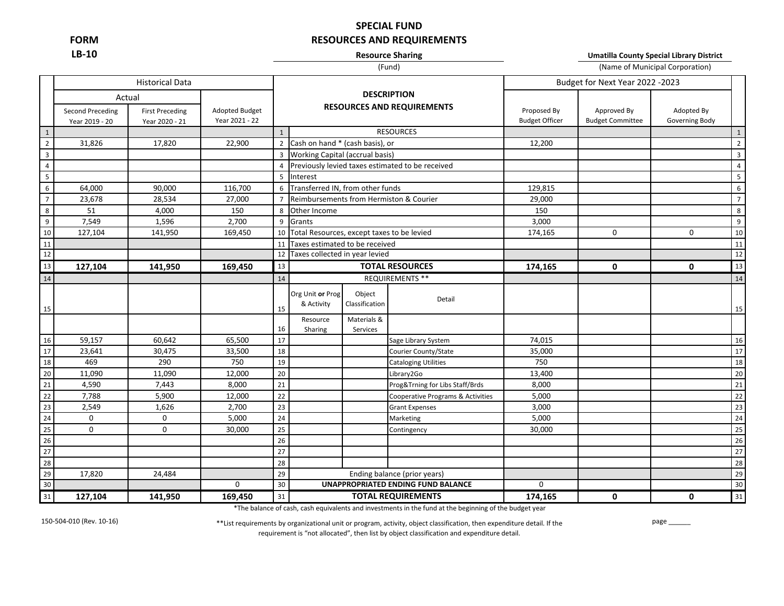**FORM LB-10**

# **SPECIAL FUND RESOURCES AND REQUIREMENTS**

### **Resource Sharing**

**Umatilla County Special Library District**

### (Fund)

|                  |                                    |                                          |                                  | (Fund)                            |                                            |                |                                                  | (Name of Municipal Corporation)      |                                        |                              |                 |  |
|------------------|------------------------------------|------------------------------------------|----------------------------------|-----------------------------------|--------------------------------------------|----------------|--------------------------------------------------|--------------------------------------|----------------------------------------|------------------------------|-----------------|--|
|                  |                                    | <b>Historical Data</b>                   |                                  |                                   |                                            |                |                                                  | Budget for Next Year 2022 -2023      |                                        |                              |                 |  |
|                  | Actual                             |                                          |                                  |                                   |                                            |                | <b>DESCRIPTION</b>                               |                                      |                                        |                              |                 |  |
|                  | Second Preceding<br>Year 2019 - 20 | <b>First Preceding</b><br>Year 2020 - 21 | Adopted Budget<br>Year 2021 - 22 | <b>RESOURCES AND REQUIREMENTS</b> |                                            |                |                                                  | Proposed By<br><b>Budget Officer</b> | Approved By<br><b>Budget Committee</b> | Adopted By<br>Governing Body |                 |  |
| $\,1\,$          |                                    |                                          |                                  | $\mathbf{1}$                      |                                            |                | <b>RESOURCES</b>                                 |                                      |                                        |                              | $1\,$           |  |
| $\overline{2}$   | 31,826                             | 17,820                                   | 22,900                           |                                   | 2 Cash on hand * (cash basis), or          |                |                                                  | 12,200                               |                                        |                              | $\overline{2}$  |  |
| $\overline{3}$   |                                    |                                          |                                  |                                   | 3 Working Capital (accrual basis)          |                |                                                  |                                      |                                        |                              | $\overline{3}$  |  |
| $\overline{4}$   |                                    |                                          |                                  | $\overline{4}$                    |                                            |                | Previously levied taxes estimated to be received |                                      |                                        |                              | $\overline{4}$  |  |
| $5\phantom{a}$   |                                    |                                          |                                  | 5                                 | Interest                                   |                |                                                  |                                      |                                        |                              | $5\overline{5}$ |  |
| $\,$ 6 $\,$      | 64,000                             | 90,000                                   | 116,700                          | 6                                 | Transferred IN, from other funds           |                |                                                  | 129,815                              |                                        |                              | 6               |  |
| $\overline{7}$   | 23,678                             | 28,534                                   | 27,000                           | $\overline{7}$                    |                                            |                | Reimbursements from Hermiston & Courier          | 29,000                               |                                        |                              | 7 <sup>7</sup>  |  |
| 8                | 51                                 | 4,000                                    | 150                              | 8                                 | Other Income                               |                |                                                  | 150                                  |                                        |                              | 8               |  |
| $\boldsymbol{9}$ | 7,549                              | 1,596                                    | 2,700                            | 9                                 | Grants                                     |                |                                                  | 3,000                                |                                        |                              | 9               |  |
| 10               | 127,104                            | 141,950                                  | 169,450                          | 10                                | Total Resources, except taxes to be levied |                |                                                  | 174,165                              | $\mathbf 0$                            | 0                            | 10              |  |
| 11               |                                    |                                          |                                  | 11                                | Taxes estimated to be received             |                |                                                  |                                      |                                        |                              | 11              |  |
| 12               |                                    |                                          |                                  | 12                                | Taxes collected in year levied             |                |                                                  |                                      |                                        |                              | 12              |  |
| 13               | 127,104                            | 141,950                                  | 169,450                          | 13                                | <b>TOTAL RESOURCES</b>                     |                |                                                  | 174,165                              | $\mathbf{0}$                           | $\mathbf{0}$                 | 13              |  |
| 14               |                                    |                                          |                                  | 14                                |                                            |                | <b>REQUIREMENTS **</b>                           |                                      |                                        |                              | 14              |  |
|                  |                                    |                                          |                                  |                                   | Org Unit or Prog                           | Object         |                                                  |                                      |                                        |                              |                 |  |
|                  |                                    |                                          |                                  |                                   | & Activity                                 | Classification | Detail                                           |                                      |                                        |                              |                 |  |
| 15               |                                    |                                          |                                  | 15                                |                                            |                |                                                  |                                      |                                        |                              | 15              |  |
|                  |                                    |                                          |                                  | 16                                | Resource                                   | Materials &    |                                                  |                                      |                                        |                              |                 |  |
| 16               | 59,157                             | 60,642                                   | 65,500                           | 17                                | Sharing                                    | Services       | Sage Library System                              | 74,015                               |                                        |                              | 16              |  |
| 17               | 23,641                             | 30,475                                   | 33,500                           | 18                                |                                            |                | Courier County/State                             | 35,000                               |                                        |                              | 17              |  |
| 18               | 469                                | 290                                      | 750                              | 19                                |                                            |                | <b>Cataloging Utilities</b>                      | 750                                  |                                        |                              | 18              |  |
| 20               | 11,090                             | 11,090                                   | 12,000                           | $20\,$                            |                                            |                | Library2Go                                       | 13,400                               |                                        |                              | 20              |  |
| 21               | 4,590                              | 7,443                                    | 8,000                            | 21                                |                                            |                | Prog&Trning for Libs Staff/Brds                  | 8,000                                |                                        |                              | 21              |  |
| 22               | 7,788                              | 5,900                                    | 12,000                           | 22                                |                                            |                | Cooperative Programs & Activities                | 5,000                                |                                        |                              | 22              |  |
| 23               | 2,549                              | 1,626                                    | 2,700                            | 23                                |                                            |                | <b>Grant Expenses</b>                            | 3,000                                |                                        |                              | 23              |  |
| 24               | $\mathbf 0$                        | $\mathbf 0$                              | 5,000                            | 24                                |                                            |                | Marketing                                        | 5,000                                |                                        |                              | $24$            |  |
| 25               | $\mathbf 0$                        | $\mathbf 0$                              | 30,000                           | 25                                |                                            |                | Contingency                                      | 30,000                               |                                        |                              | 25              |  |
| 26               |                                    |                                          |                                  | 26                                |                                            |                |                                                  |                                      |                                        |                              | 26              |  |
| 27               |                                    |                                          |                                  | 27                                |                                            |                |                                                  |                                      |                                        |                              | $27\,$          |  |
| 28               |                                    |                                          |                                  | 28                                |                                            |                |                                                  |                                      |                                        |                              | 28              |  |
| 29               | 17,820                             | 24,484                                   |                                  | 29                                |                                            |                | Ending balance (prior years)                     |                                      |                                        |                              | 29              |  |
| 30               |                                    |                                          | 0                                | 30                                |                                            |                | <b>UNAPPROPRIATED ENDING FUND BALANCE</b>        | 0                                    |                                        |                              | 30              |  |
| 31               | 127,104                            | 141,950                                  | 169,450                          | 31                                |                                            |                | <b>TOTAL REQUIREMENTS</b>                        | 174,165                              | 0                                      | 0                            | 31              |  |

\*The balance of cash, cash equivalents and investments in the fund at the beginning of the budget year

150-504-010 (Rev. 10-16) page \_\_\_\_\_\_ \*\*List requirements by organizational unit or program, activity, object classification, then expenditure detail. If the requirement is "not allocated", then list by object classification and expenditure detail.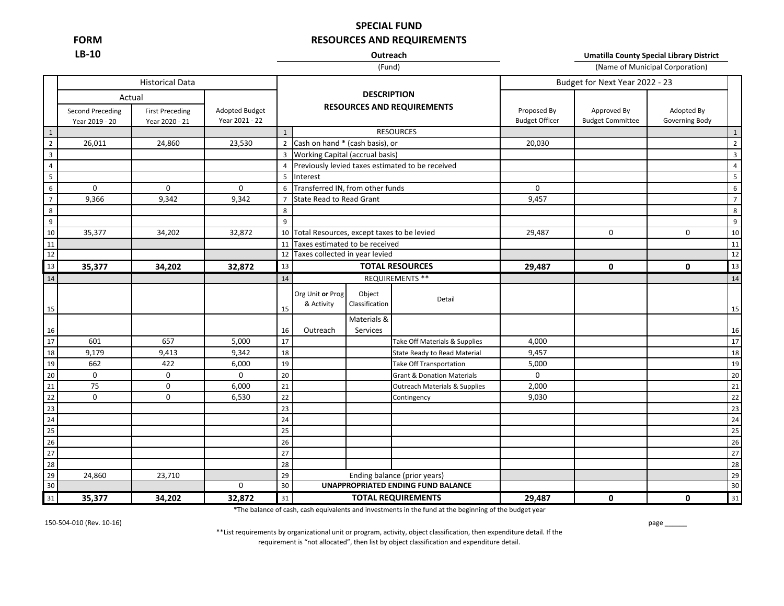**LB-10 FORM**

# **RESOURCES AND REQUIREMENTS SPECIAL FUND**

### (Fund) **Outreach**

(Name of Municipal Corporation) **Umatilla County Special Library District**

|                         |                                              |                                          |                                         |              |                                               |                          | Budget for Next Year 2022 - 23                     |                                      |                                        |                              |                |
|-------------------------|----------------------------------------------|------------------------------------------|-----------------------------------------|--------------|-----------------------------------------------|--------------------------|----------------------------------------------------|--------------------------------------|----------------------------------------|------------------------------|----------------|
|                         | Actual<br>Second Preceding<br>Year 2019 - 20 | <b>First Preceding</b><br>Year 2020 - 21 | <b>Adopted Budget</b><br>Year 2021 - 22 |              |                                               | <b>DESCRIPTION</b>       | <b>RESOURCES AND REQUIREMENTS</b>                  | Proposed By<br><b>Budget Officer</b> | Approved By<br><b>Budget Committee</b> | Adopted By<br>Governing Body |                |
| $\overline{1}$          |                                              |                                          |                                         | $\mathbf{1}$ |                                               |                          | <b>RESOURCES</b>                                   |                                      |                                        |                              | $\mathbf{1}$   |
| $\overline{2}$          | 26,011                                       | 24,860                                   | 23,530                                  |              | 2 Cash on hand * (cash basis), or             |                          |                                                    | 20,030                               |                                        |                              | $\overline{2}$ |
| $\overline{\mathbf{3}}$ |                                              |                                          |                                         |              | 3 Working Capital (accrual basis)             |                          |                                                    |                                      |                                        |                              | $\overline{3}$ |
| $\overline{4}$          |                                              |                                          |                                         |              |                                               |                          | 4 Previously levied taxes estimated to be received |                                      |                                        |                              | $\overline{4}$ |
| $5\overline{)}$         |                                              |                                          |                                         | 5            | Interest                                      |                          |                                                    |                                      |                                        |                              | 5              |
| $\,$ 6 $\,$             | $\mathbf 0$                                  | $\mathbf 0$                              | 0                                       | 6            | Transferred IN, from other funds              |                          |                                                    | $\mathbf 0$                          |                                        |                              | 6              |
| $\overline{7}$          | 9,366                                        | 9,342                                    | 9,342                                   |              | <b>State Read to Read Grant</b>               |                          |                                                    | 9,457                                |                                        |                              | $\overline{7}$ |
| 8                       |                                              |                                          |                                         | 8            |                                               |                          |                                                    |                                      |                                        |                              | 8              |
| $\boldsymbol{9}$        |                                              |                                          |                                         | 9            |                                               |                          |                                                    |                                      |                                        |                              | 9              |
| 10                      | 35,377                                       | 34,202                                   | 32,872                                  |              | 10 Total Resources, except taxes to be levied |                          |                                                    | 29,487                               | $\mathbf 0$                            | $\mathbf 0$                  | 10             |
| 11                      |                                              |                                          |                                         |              | 11 Taxes estimated to be received             |                          |                                                    |                                      |                                        |                              | 11             |
| 12                      |                                              |                                          |                                         |              | 12 Taxes collected in year levied             |                          |                                                    |                                      |                                        |                              | 12             |
| 13                      | 35,377                                       | 34,202                                   | 32,872                                  | 13           |                                               |                          | <b>TOTAL RESOURCES</b>                             | 29,487                               | 0                                      | $\mathbf 0$                  | 13             |
| 14                      |                                              |                                          |                                         | 14           |                                               |                          | REQUIREMENTS **                                    |                                      |                                        |                              | 14             |
| 15                      |                                              |                                          |                                         | 15           | Org Unit or Prog<br>& Activity                | Object<br>Classification | Detail                                             |                                      |                                        |                              | 15             |
| 16                      |                                              |                                          |                                         | 16           | Outreach                                      | Materials &<br>Services  |                                                    |                                      |                                        |                              | 16             |
| 17                      | 601                                          | 657                                      | 5,000                                   | 17           |                                               |                          | Take Off Materials & Supplies                      | 4,000                                |                                        |                              | 17             |
| 18                      | 9,179                                        | 9,413                                    | 9,342                                   | 18           |                                               |                          | <b>State Ready to Read Material</b>                | 9,457                                |                                        |                              | 18             |
| 19                      | 662                                          | 422                                      | 6,000                                   | 19           |                                               |                          | <b>Take Off Transportation</b>                     | 5,000                                |                                        |                              | 19             |
| 20                      | 0                                            | $\mathbf 0$                              | $\mathbf 0$                             | 20           |                                               |                          | <b>Grant &amp; Donation Materials</b>              | $\mathbf 0$                          |                                        |                              | 20             |
| $\overline{21}$         | 75                                           | $\mathbf 0$                              | 6,000                                   | 21           |                                               |                          | <b>Outreach Materials &amp; Supplies</b>           | 2,000                                |                                        |                              | 21             |
| 22                      | $\mathbf 0$                                  | $\mathbf 0$                              | 6,530                                   | 22           |                                               |                          | Contingency                                        | 9,030                                |                                        |                              | 22             |
| 23                      |                                              |                                          |                                         | 23           |                                               |                          |                                                    |                                      |                                        |                              | 23             |
| 24                      |                                              |                                          |                                         | 24           |                                               |                          |                                                    |                                      |                                        |                              | 24             |
| 25                      |                                              |                                          |                                         | 25           |                                               |                          |                                                    |                                      |                                        |                              | 25             |
| 26                      |                                              |                                          |                                         | 26           |                                               |                          |                                                    |                                      |                                        |                              | 26             |
| 27                      |                                              |                                          |                                         | 27           |                                               |                          |                                                    |                                      |                                        |                              | 27             |
| 28                      |                                              |                                          |                                         | 28           |                                               |                          |                                                    |                                      |                                        |                              | 28             |
| 29                      | 24,860                                       | 23,710                                   |                                         | 29           |                                               |                          | Ending balance (prior years)                       |                                      |                                        |                              | 29             |
| 30                      |                                              |                                          | 0                                       | 30           |                                               |                          | <b>UNAPPROPRIATED ENDING FUND BALANCE</b>          |                                      |                                        |                              | 30             |
| 31                      | 35,377                                       | 34,202                                   | 32,872                                  | 31           |                                               |                          | <b>TOTAL REQUIREMENTS</b>                          | 29,487                               | 0                                      | $\mathbf 0$                  | 31             |

\*The balance of cash, cash equivalents and investments in the fund at the beginning of the budget year

150-504-010 (Rev. 10-16)

\*\*List requirements by organizational unit or program, activity, object classification, then expenditure detail. If the requirement is "not allocated", then list by object classification and expenditure detail.

page \_\_\_\_